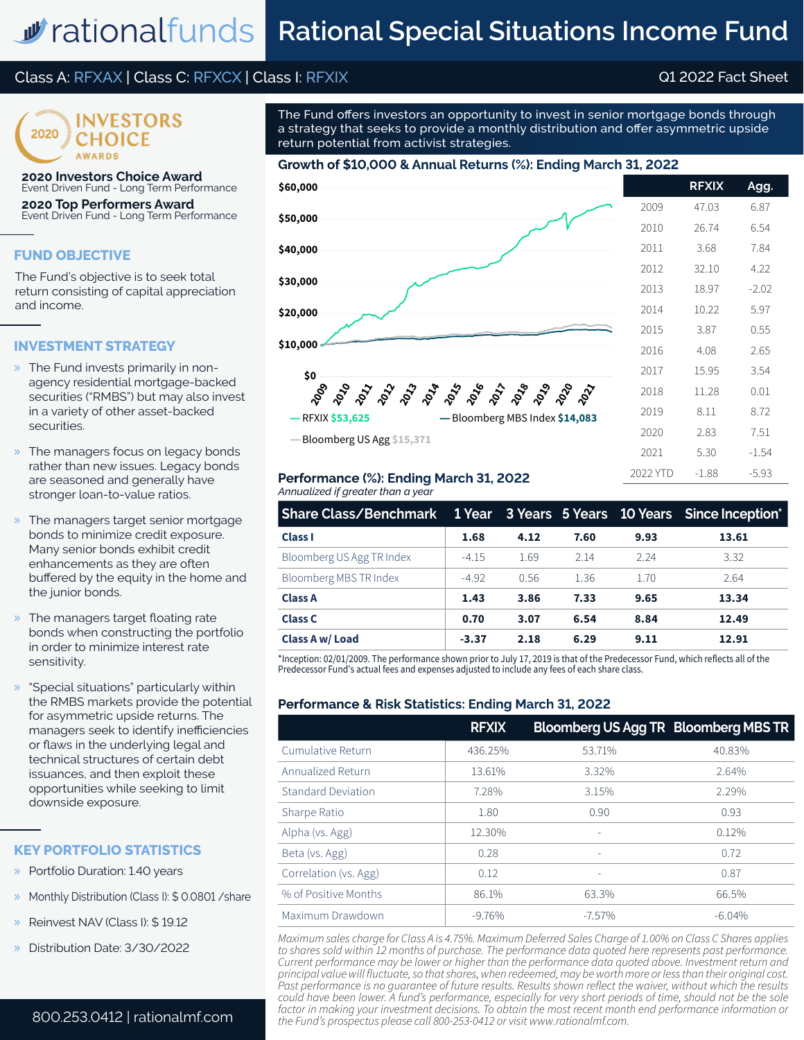# **M** rational funds Rational Special Situations Income Fund

## Class A: RFXAX | Class C: RFXCX | Class I: RFXIX Q1 2022 Fact Sheet



**2020 Investors Choice Award** Event Driven Fund - Long Term Performance

**2020 Top Performers Award** Event Driven Fund - Long Term Performance

## **FUND OBJECTIVE**

The Fund's objective is to seek total return consisting of capital appreciation and income.

#### **INVESTMENT STRATEGY**

- » The Fund invests primarily in nonagency residential mortgage-backed securities ("RMBS") but may also invest in a variety of other asset-backed securities.
- » The managers focus on legacy bonds rather than new issues. Legacy bonds are seasoned and generally have stronger loan-to-value ratios.
- The managers target senior mortgage bonds to minimize credit exposure. Many senior bonds exhibit credit enhancements as they are often buffered by the equity in the home and the junior bonds.
- » The managers target floating rate bonds when constructing the portfolio in order to minimize interest rate sensitivity.
- » "Special situations" particularly within the RMBS markets provide the potential for asymmetric upside returns. The managers seek to identify inefficiencies or flaws in the underlying legal and technical structures of certain debt issuances, and then exploit these opportunities while seeking to limit downside exposure.

#### **KEY PORTFOLIO STATISTICS**

- » Portfolio Duration: 1.40 years
- Monthly Distribution (Class I): \$ 0.0801 / share
- » Reinvest NAV (Class I): \$ 19.12
- » Distribution Date: 3/30/2022

#### 800.253.0412 | rationalmf.com

The Fund offers investors an opportunity to invest in senior mortgage bonds through a strategy that seeks to provide a monthly distribution and offer asymmetric upside return potential from activist strategies.

## **Growth of \$10,000 & Annual Returns (%): Ending March 31, 2022**



#### *Annualized if greater than a year* **Performance (%): Ending March 31, 2022**

| Share Class/Benchmark 1 Year 3 Years 5 Years 10 Years Since Inception* |         |      |      |      |       |
|------------------------------------------------------------------------|---------|------|------|------|-------|
| <b>Class I</b>                                                         | 1.68    | 4.12 | 7.60 | 9.93 | 13.61 |
| Bloomberg US Agg TR Index                                              | $-4.15$ | 1.69 | 2 14 | 2 24 | 3.32  |
| Bloomberg MBS TR Index                                                 | $-4.92$ | 0.56 | 1.36 | 1.70 | 2.64  |
| <b>Class A</b>                                                         | 1.43    | 3.86 | 7.33 | 9.65 | 13.34 |
| <b>Class C</b>                                                         | 0.70    | 3.07 | 6.54 | 8.84 | 12.49 |
| Class A w/ Load                                                        | $-3.37$ | 2.18 | 6.29 | 9.11 | 12.91 |

\*Inception: 02/01/2009. The performance shown prior to July 17, 2019 is that of the Predecessor Fund, which reflects all of the Predecessor Fund's actual fees and expenses adjusted to include any fees of each share class.

## **Performance & Risk Statistics: Ending March 31, 2022**

|                           | <b>RFXIX</b> | Bloomberg US Agg TR Bloomberg MBS TR |          |
|---------------------------|--------------|--------------------------------------|----------|
| Cumulative Return         | 436.25%      | 53.71%                               | 40.83%   |
| Annualized Return         | 13.61%       | 3.32%                                | 2.64%    |
| <b>Standard Deviation</b> | 7.28%        | 3.15%                                | 2.29%    |
| Sharpe Ratio              | 1.80         | 0.90                                 | 0.93     |
| Alpha (vs. Agg)           | 12.30%       | $\overline{\phantom{a}}$             | 0.12%    |
| Beta (vs. Agg)            | 0.28         | ٠                                    | 0.72     |
| Correlation (vs. Agg)     | 0.12         | ۰                                    | 0.87     |
| % of Positive Months      | 86.1%        | 63.3%                                | 66.5%    |
| Maximum Drawdown          | $-9.76%$     | $-7.57\%$                            | $-6.04%$ |

*Maximum sales charge for Class A is 4.75%. Maximum Deferred Sales Charge of 1.00% on Class C Shares applies to shares sold within 12 months of purchase. The performance data quoted here represents past performance. Current performance may be lower or higher than the performance data quoted above. Investment return and principal value will fluctuate, so that shares, when redeemed, may be worth more or less than their original cost. Past performance is no guarantee of future results. Results shown reflect the waiver, without which the results could have been lower. A fund's performance, especially for very short periods of time, should not be the sole factor in making your investment decisions. To obtain the most recent month end performance information or the Fund's prospectus please call 800-253-0412 or visit www.rationalmf.com.*